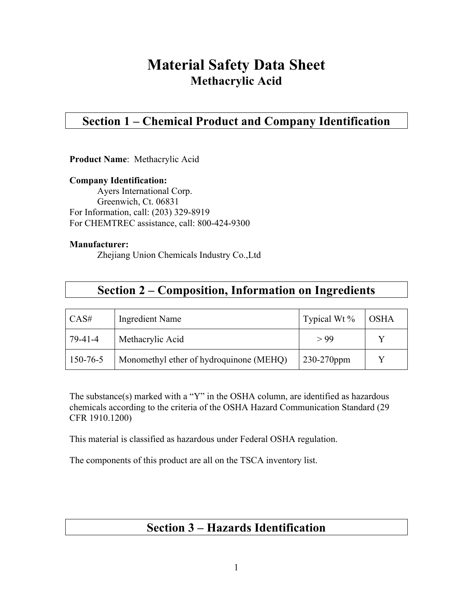# **Material Safety Data Sheet Methacrylic Acid**

## **Section 1 – Chemical Product and Company Identification**

**Product Name**: Methacrylic Acid

**Company Identification:** Ayers International Corp. Greenwich, Ct. 06831 For Information, call: (203) 329-8919 For CHEMTREC assistance, call: 800-424-9300

### **Manufacturer:**

Zhejiang Union Chemicals Industry Co.,Ltd

| CAS#     | Ingredient Name                         | Typical Wt $\%$ | <b>OSHA</b> |
|----------|-----------------------------------------|-----------------|-------------|
| 79-41-4  | Methacrylic Acid                        | > 99            |             |
| 150-76-5 | Monomethyl ether of hydroquinone (MEHQ) | $230-270$ ppm   |             |

The substance(s) marked with a "Y" in the OSHA column, are identified as hazardous chemicals according to the criteria of the OSHA Hazard Communication Standard (29 CFR 1910.1200)

This material is classified as hazardous under Federal OSHA regulation.

The components of this product are all on the TSCA inventory list.

## **Section 3 – Hazards Identification**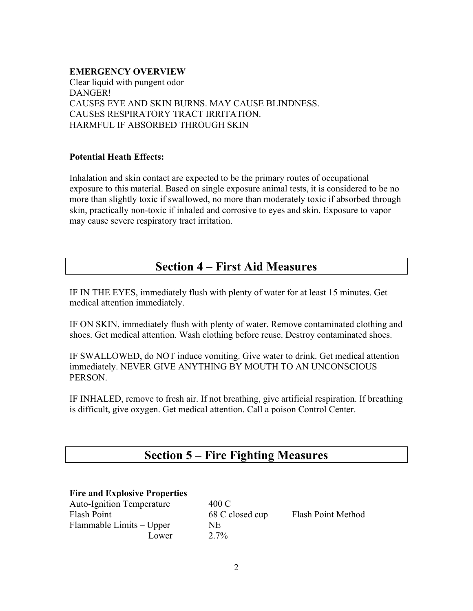### **EMERGENCY OVERVIEW**

Clear liquid with pungent odor DANGER! CAUSES EYE AND SKIN BURNS. MAY CAUSE BLINDNESS. CAUSES RESPIRATORY TRACT IRRITATION. HARMFUL IF ABSORBED THROUGH SKIN

### **Potential Heath Effects:**

Inhalation and skin contact are expected to be the primary routes of occupational exposure to this material. Based on single exposure animal tests, it is considered to be no more than slightly toxic if swallowed, no more than moderately toxic if absorbed through skin, practically non-toxic if inhaled and corrosive to eyes and skin. Exposure to vapor may cause severe respiratory tract irritation.

## **Section 4 – First Aid Measures**

IF IN THE EYES, immediately flush with plenty of water for at least 15 minutes. Get medical attention immediately.

IF ON SKIN, immediately flush with plenty of water. Remove contaminated clothing and shoes. Get medical attention. Wash clothing before reuse. Destroy contaminated shoes.

IF SWALLOWED, do NOT induce vomiting. Give water to drink. Get medical attention immediately. NEVER GIVE ANYTHING BY MOUTH TO AN UNCONSCIOUS PERSON.

IF INHALED, remove to fresh air. If not breathing, give artificial respiration. If breathing is difficult, give oxygen. Get medical attention. Call a poison Control Center.

## **Section 5 – Fire Fighting Measures**

### **Fire and Explosive Properties**

Auto-Ignition Temperature 400 C Flash Point 68 C closed cup Flash Point Method Flammable Limits – Upper NE Lower  $2.7\%$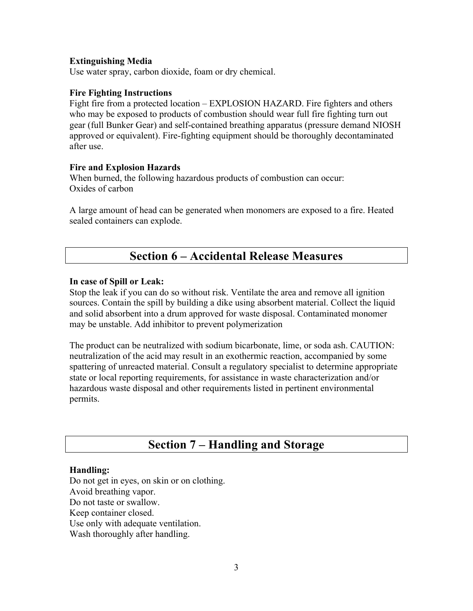### **Extinguishing Media**

Use water spray, carbon dioxide, foam or dry chemical.

### **Fire Fighting Instructions**

Fight fire from a protected location – EXPLOSION HAZARD. Fire fighters and others who may be exposed to products of combustion should wear full fire fighting turn out gear (full Bunker Gear) and self-contained breathing apparatus (pressure demand NIOSH approved or equivalent). Fire-fighting equipment should be thoroughly decontaminated after use.

### **Fire and Explosion Hazards**

When burned, the following hazardous products of combustion can occur: Oxides of carbon

A large amount of head can be generated when monomers are exposed to a fire. Heated sealed containers can explode.

## **Section 6 – Accidental Release Measures**

### **In case of Spill or Leak:**

Stop the leak if you can do so without risk. Ventilate the area and remove all ignition sources. Contain the spill by building a dike using absorbent material. Collect the liquid and solid absorbent into a drum approved for waste disposal. Contaminated monomer may be unstable. Add inhibitor to prevent polymerization

The product can be neutralized with sodium bicarbonate, lime, or soda ash. CAUTION: neutralization of the acid may result in an exothermic reaction, accompanied by some spattering of unreacted material. Consult a regulatory specialist to determine appropriate state or local reporting requirements, for assistance in waste characterization and/or hazardous waste disposal and other requirements listed in pertinent environmental permits.

## **Section 7 – Handling and Storage**

### **Handling:**

Do not get in eyes, on skin or on clothing. Avoid breathing vapor. Do not taste or swallow. Keep container closed. Use only with adequate ventilation. Wash thoroughly after handling.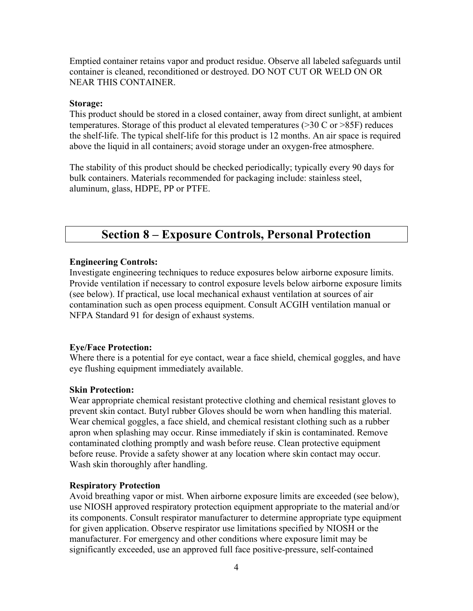Emptied container retains vapor and product residue. Observe all labeled safeguards until container is cleaned, reconditioned or destroyed. DO NOT CUT OR WELD ON OR NEAR THIS CONTAINER.

### **Storage:**

This product should be stored in a closed container, away from direct sunlight, at ambient temperatures. Storage of this product al elevated temperatures (>30 C or >85F) reduces the shelf-life. The typical shelf-life for this product is 12 months. An air space is required above the liquid in all containers; avoid storage under an oxygen-free atmosphere.

The stability of this product should be checked periodically; typically every 90 days for bulk containers. Materials recommended for packaging include: stainless steel, aluminum, glass, HDPE, PP or PTFE.

## **Section 8 – Exposure Controls, Personal Protection**

### **Engineering Controls:**

Investigate engineering techniques to reduce exposures below airborne exposure limits. Provide ventilation if necessary to control exposure levels below airborne exposure limits (see below). If practical, use local mechanical exhaust ventilation at sources of air contamination such as open process equipment. Consult ACGIH ventilation manual or NFPA Standard 91 for design of exhaust systems.

### **Eye/Face Protection:**

Where there is a potential for eye contact, wear a face shield, chemical goggles, and have eye flushing equipment immediately available.

### **Skin Protection:**

Wear appropriate chemical resistant protective clothing and chemical resistant gloves to prevent skin contact. Butyl rubber Gloves should be worn when handling this material. Wear chemical goggles, a face shield, and chemical resistant clothing such as a rubber apron when splashing may occur. Rinse immediately if skin is contaminated. Remove contaminated clothing promptly and wash before reuse. Clean protective equipment before reuse. Provide a safety shower at any location where skin contact may occur. Wash skin thoroughly after handling.

### **Respiratory Protection**

Avoid breathing vapor or mist. When airborne exposure limits are exceeded (see below), use NIOSH approved respiratory protection equipment appropriate to the material and/or its components. Consult respirator manufacturer to determine appropriate type equipment for given application. Observe respirator use limitations specified by NIOSH or the manufacturer. For emergency and other conditions where exposure limit may be significantly exceeded, use an approved full face positive-pressure, self-contained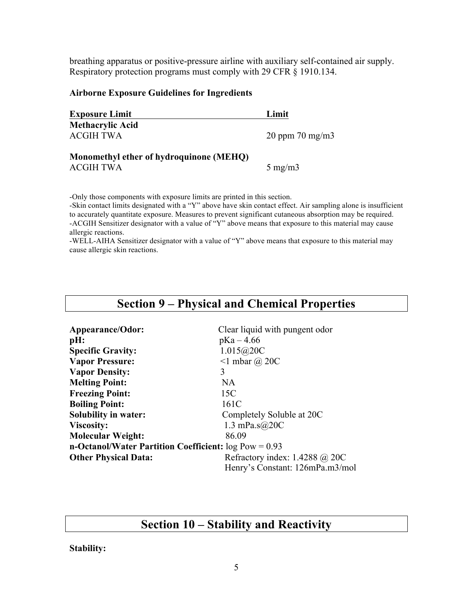breathing apparatus or positive-pressure airline with auxiliary self-contained air supply. Respiratory protection programs must comply with 29 CFR § 1910.134.

### **Airborne Exposure Guidelines for Ingredients**

| <b>Exposure Limit</b>                   | Limit                  |  |
|-----------------------------------------|------------------------|--|
| <b>Methacrylic Acid</b>                 |                        |  |
| <b>ACGIH TWA</b>                        | $20$ ppm $70$ mg/m $3$ |  |
| Monomethyl ether of hydroquinone (MEHQ) |                        |  |
| <b>ACGIH TWA</b>                        | $5 \text{ mg/m}$       |  |

-Only those components with exposure limits are printed in this section.

-Skin contact limits designated with a "Y" above have skin contact effect. Air sampling alone is insufficient to accurately quantitate exposure. Measures to prevent significant cutaneous absorption may be required. -ACGIH Sensitizer designator with a value of "Y" above means that exposure to this material may cause allergic reactions.

-WELL-AIHA Sensitizer designator with a value of "Y" above means that exposure to this material may cause allergic skin reactions.

| <b>Section 9 – Physical and Chemical Properties</b>     |                                  |  |  |  |
|---------------------------------------------------------|----------------------------------|--|--|--|
|                                                         |                                  |  |  |  |
| Appearance/Odor:                                        | Clear liquid with pungent odor   |  |  |  |
| pH:                                                     | $pKa - 4.66$                     |  |  |  |
| <b>Specific Gravity:</b>                                | 1.015@20C                        |  |  |  |
| <b>Vapor Pressure:</b>                                  | $\leq 1$ mbar $\omega$ 20C       |  |  |  |
| <b>Vapor Density:</b>                                   | 3                                |  |  |  |
| <b>Melting Point:</b>                                   | NA.                              |  |  |  |
| <b>Freezing Point:</b>                                  | 15C                              |  |  |  |
| <b>Boiling Point:</b>                                   | 161C                             |  |  |  |
| <b>Solubility in water:</b>                             | Completely Soluble at 20C        |  |  |  |
| <b>Viscosity:</b>                                       | 1.3 mPa.s $@20C$                 |  |  |  |
| <b>Molecular Weight:</b>                                | 86.09                            |  |  |  |
| n-Octanol/Water Partition Coefficient: $log Pow = 0.93$ |                                  |  |  |  |
| <b>Other Physical Data:</b>                             | Refractory index: $1.4288$ @ 20C |  |  |  |
|                                                         | Henry's Constant: 126mPa.m3/mol  |  |  |  |

## **Section 10 – Stability and Reactivity**

**Stability:**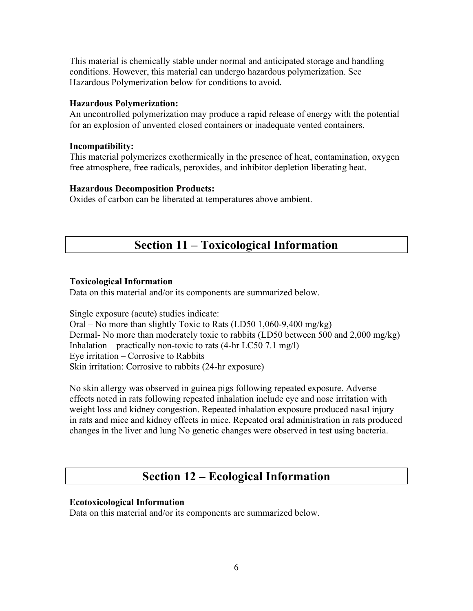This material is chemically stable under normal and anticipated storage and handling conditions. However, this material can undergo hazardous polymerization. See Hazardous Polymerization below for conditions to avoid.

### **Hazardous Polymerization:**

An uncontrolled polymerization may produce a rapid release of energy with the potential for an explosion of unvented closed containers or inadequate vented containers.

### **Incompatibility:**

This material polymerizes exothermically in the presence of heat, contamination, oxygen free atmosphere, free radicals, peroxides, and inhibitor depletion liberating heat.

### **Hazardous Decomposition Products:**

Oxides of carbon can be liberated at temperatures above ambient.

## **Section 11 – Toxicological Information**

### **Toxicological Information**

Data on this material and/or its components are summarized below.

Single exposure (acute) studies indicate: Oral – No more than slightly Toxic to Rats (LD50 1,060-9,400 mg/kg) Dermal- No more than moderately toxic to rabbits (LD50 between 500 and 2,000 mg/kg) Inhalation – practically non-toxic to rats  $(4-hr LC50 7.1 mg/l)$ Eye irritation – Corrosive to Rabbits Skin irritation: Corrosive to rabbits (24-hr exposure)

No skin allergy was observed in guinea pigs following repeated exposure. Adverse effects noted in rats following repeated inhalation include eye and nose irritation with weight loss and kidney congestion. Repeated inhalation exposure produced nasal injury in rats and mice and kidney effects in mice. Repeated oral administration in rats produced changes in the liver and lung No genetic changes were observed in test using bacteria.

### **Section 12 – Ecological Information**

### **Ecotoxicological Information**

Data on this material and/or its components are summarized below.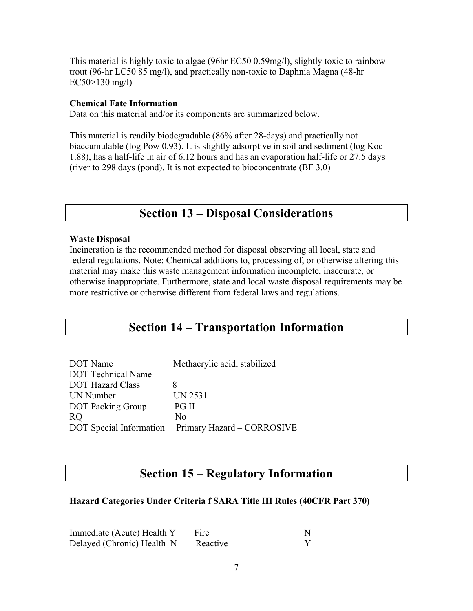This material is highly toxic to algae (96hr EC50 0.59mg/l), slightly toxic to rainbow trout (96-hr LC50 85 mg/l), and practically non-toxic to Daphnia Magna (48-hr  $EC50 > 130$  mg/l)

### **Chemical Fate Information**

Data on this material and/or its components are summarized below.

This material is readily biodegradable (86% after 28-days) and practically not biaccumulable (log Pow 0.93). It is slightly adsorptive in soil and sediment (log Koc 1.88), has a half-life in air of 6.12 hours and has an evaporation half-life or 27.5 days (river to 298 days (pond). It is not expected to bioconcentrate (BF 3.0)

## **Section 13 – Disposal Considerations**

### **Waste Disposal**

Incineration is the recommended method for disposal observing all local, state and federal regulations. Note: Chemical additions to, processing of, or otherwise altering this material may make this waste management information incomplete, inaccurate, or otherwise inappropriate. Furthermore, state and local waste disposal requirements may be more restrictive or otherwise different from federal laws and regulations.

## **Section 14 – Transportation Information**

| DOT Name                  | Methacrylic acid, stabilized                       |  |
|---------------------------|----------------------------------------------------|--|
| <b>DOT</b> Technical Name |                                                    |  |
| <b>DOT Hazard Class</b>   |                                                    |  |
| UN Number                 | UN 2531                                            |  |
| <b>DOT</b> Packing Group  | PG II                                              |  |
| <sub>R</sub> O            | Nο                                                 |  |
|                           | DOT Special Information Primary Hazard - CORROSIVE |  |

## **Section 15 – Regulatory Information**

### **Hazard Categories Under Criteria f SARA Title III Rules (40CFR Part 370)**

| Immediate (Acute) Health Y | Fire     |  |
|----------------------------|----------|--|
| Delayed (Chronic) Health N | Reactive |  |